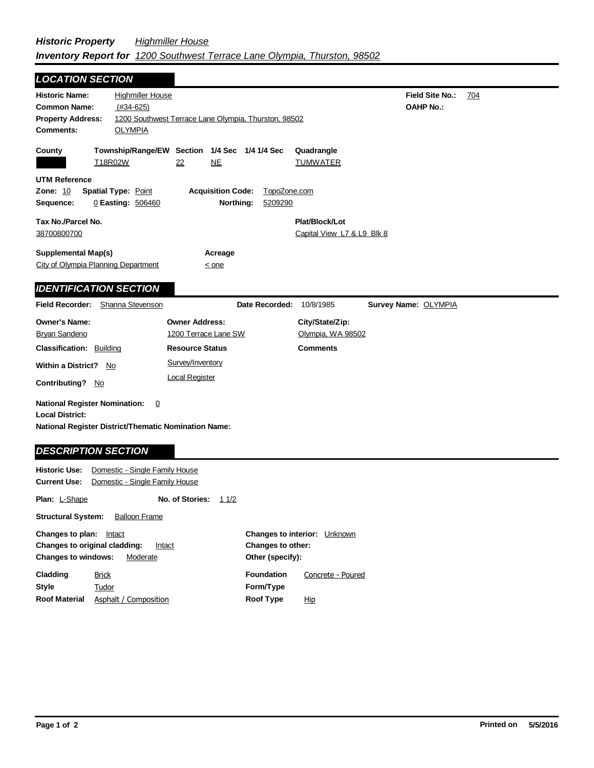| <b>LOCATION SECTION</b>                                                                                                                              |                                                                                 |                                                   |  |
|------------------------------------------------------------------------------------------------------------------------------------------------------|---------------------------------------------------------------------------------|---------------------------------------------------|--|
| <b>Historic Name:</b><br>$(#34-625)$<br><b>Common Name:</b><br><b>Property Address:</b><br><b>Comments:</b><br><b>OLYMPIA</b>                        | <b>Highmiller House</b><br>1200 Southwest Terrace Lane Olympia, Thurston, 98502 | <b>Field Site No.:</b><br>704<br><b>OAHP No.:</b> |  |
| County<br>T18R02W                                                                                                                                    | Township/Range/EW Section 1/4 Sec 1/4 1/4 Sec<br>NE<br>22                       | Quadrangle<br><b>TUMWATER</b>                     |  |
| <b>UTM Reference</b><br>Zone: 10<br><b>Spatial Type: Point</b><br>0 Easting: 506460<br>Sequence:                                                     | <b>Acquisition Code:</b><br>Northing:<br>5209290                                | TopoZone.com                                      |  |
| Tax No./Parcel No.<br>38700800700                                                                                                                    |                                                                                 | Plat/Block/Lot<br>Capital View L7 & L9 Blk 8      |  |
| <b>Supplemental Map(s)</b><br>City of Olympia Planning Department                                                                                    | Acreage<br>$\leq$ one                                                           |                                                   |  |
| <b>IDENTIFICATION SECTION</b>                                                                                                                        |                                                                                 |                                                   |  |
| Field Recorder: Shanna Stevenson                                                                                                                     | Date Recorded:                                                                  | 10/8/1985<br>Survey Name: OLYMPIA                 |  |
| <b>Owner's Name:</b>                                                                                                                                 | <b>Owner Address:</b>                                                           | City/State/Zip:                                   |  |
| <b>Bryan Sandeno</b>                                                                                                                                 | 1200 Terrace Lane SW                                                            | Olympia, WA 98502                                 |  |
| <b>Classification: Building</b>                                                                                                                      | <b>Resource Status</b>                                                          | <b>Comments</b>                                   |  |
| <b>Within a District?</b><br>No                                                                                                                      | Survey/Inventory                                                                |                                                   |  |
| <b>Contributing?</b><br>No                                                                                                                           | <b>Local Register</b>                                                           |                                                   |  |
| <b>National Register Nomination:</b><br><b>Local District:</b><br>National Register District/Thematic Nomination Name:<br><b>DESCRIPTION SECTION</b> | $\overline{0}$                                                                  |                                                   |  |
|                                                                                                                                                      |                                                                                 |                                                   |  |

|                                                                                                                        | <b>Current Use:</b> Domestic - Single Family House |                 |      |                                                                                        |                   |  |
|------------------------------------------------------------------------------------------------------------------------|----------------------------------------------------|-----------------|------|----------------------------------------------------------------------------------------|-------------------|--|
| <b>Plan: L-Shape</b>                                                                                                   |                                                    | No. of Stories: | 11/2 |                                                                                        |                   |  |
| <b>Structural System:</b>                                                                                              | <b>Balloon Frame</b>                               |                 |      |                                                                                        |                   |  |
| Changes to plan:<br>Intact<br><b>Changes to original cladding:</b><br>Intact<br><b>Changes to windows:</b><br>Moderate |                                                    |                 |      | <b>Changes to interior:</b><br>Unknown<br><b>Changes to other:</b><br>Other (specify): |                   |  |
| Cladding                                                                                                               | <b>Brick</b>                                       |                 |      | <b>Foundation</b>                                                                      | Concrete - Poured |  |
| Style                                                                                                                  | Tudor                                              |                 |      | Form/Type                                                                              |                   |  |
| <b>Roof Material</b>                                                                                                   | Asphalt / Composition                              |                 |      | <b>Roof Type</b>                                                                       | <u>Hip</u>        |  |